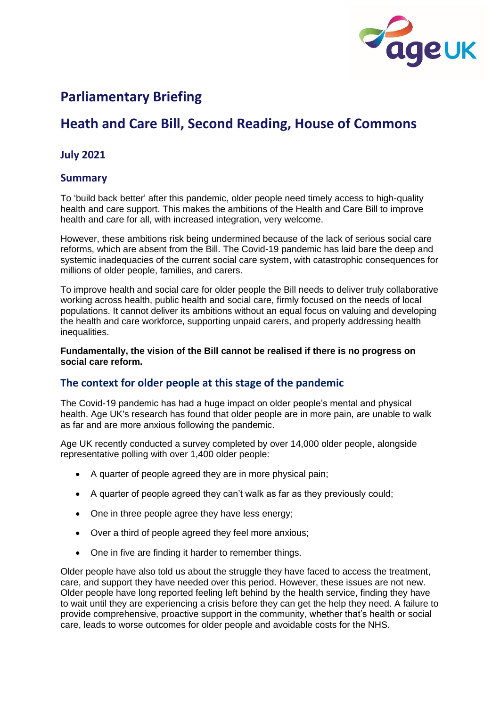

# **Parliamentary Briefing**

# **Heath and Care Bill, Second Reading, House of Commons**

## **July 2021**

### **Summary**

To 'build back better' after this pandemic, older people need timely access to high-quality health and care support. This makes the ambitions of the Health and Care Bill to improve health and care for all, with increased integration, very welcome.

However, these ambitions risk being undermined because of the lack of serious social care reforms, which are absent from the Bill. The Covid-19 pandemic has laid bare the deep and systemic inadequacies of the current social care system, with catastrophic consequences for millions of older people, families, and carers.

To improve health and social care for older people the Bill needs to deliver truly collaborative working across health, public health and social care, firmly focused on the needs of local populations. It cannot deliver its ambitions without an equal focus on valuing and developing the health and care workforce, supporting unpaid carers, and properly addressing health inequalities.

**Fundamentally, the vision of the Bill cannot be realised if there is no progress on social care reform.**

### **The context for older people at this stage of the pandemic**

The Covid-19 pandemic has had a huge impact on older people's mental and physical health. Age UK's research has found that older people are in more pain, are unable to walk as far and are more anxious following the pandemic.

Age UK recently conducted a survey completed by over 14,000 older people, alongside representative polling with over 1,400 older people:

- A quarter of people agreed they are in more physical pain;
- A quarter of people agreed they can't walk as far as they previously could;
- One in three people agree they have less energy;
- Over a third of people agreed they feel more anxious;
- One in five are finding it harder to remember things.

Older people have also told us about the struggle they have faced to access the treatment, care, and support they have needed over this period. However, these issues are not new. Older people have long reported feeling left behind by the health service, finding they have to wait until they are experiencing a crisis before they can get the help they need. A failure to provide comprehensive, proactive support in the community, whether that's health or social care, leads to worse outcomes for older people and avoidable costs for the NHS.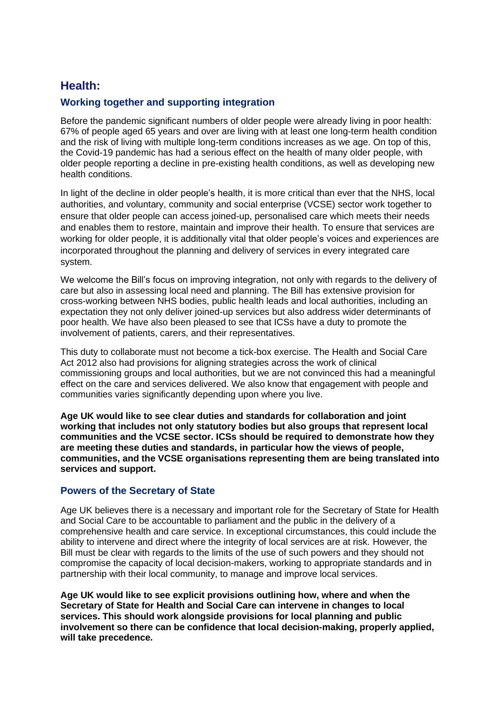# **Health:**

### **Working together and supporting integration**

Before the pandemic significant numbers of older people were already living in poor health: 67% of people aged 65 years and over are living with at least one long-term health condition and the risk of living with multiple long-term conditions increases as we age. On top of this, the Covid-19 pandemic has had a serious effect on the health of many older people, with older people reporting a decline in pre-existing health conditions, as well as developing new health conditions.

In light of the decline in older people's health, it is more critical than ever that the NHS, local authorities, and voluntary, community and social enterprise (VCSE) sector work together to ensure that older people can access joined-up, personalised care which meets their needs and enables them to restore, maintain and improve their health. To ensure that services are working for older people, it is additionally vital that older people's voices and experiences are incorporated throughout the planning and delivery of services in every integrated care system.

We welcome the Bill's focus on improving integration, not only with regards to the delivery of care but also in assessing local need and planning. The Bill has extensive provision for cross-working between NHS bodies, public health leads and local authorities, including an expectation they not only deliver joined-up services but also address wider determinants of poor health. We have also been pleased to see that ICSs have a duty to promote the involvement of patients, carers, and their representatives.

This duty to collaborate must not become a tick-box exercise. The Health and Social Care Act 2012 also had provisions for aligning strategies across the work of clinical commissioning groups and local authorities, but we are not convinced this had a meaningful effect on the care and services delivered. We also know that engagement with people and communities varies significantly depending upon where you live.

**Age UK would like to see clear duties and standards for collaboration and joint working that includes not only statutory bodies but also groups that represent local communities and the VCSE sector. ICSs should be required to demonstrate how they are meeting these duties and standards, in particular how the views of people, communities, and the VCSE organisations representing them are being translated into services and support.** 

### **Powers of the Secretary of State**

Age UK believes there is a necessary and important role for the Secretary of State for Health and Social Care to be accountable to parliament and the public in the delivery of a comprehensive health and care service. In exceptional circumstances, this could include the ability to intervene and direct where the integrity of local services are at risk. However, the Bill must be clear with regards to the limits of the use of such powers and they should not compromise the capacity of local decision-makers, working to appropriate standards and in partnership with their local community, to manage and improve local services.

**Age UK would like to see explicit provisions outlining how, where and when the Secretary of State for Health and Social Care can intervene in changes to local services. This should work alongside provisions for local planning and public involvement so there can be confidence that local decision-making, properly applied, will take precedence.**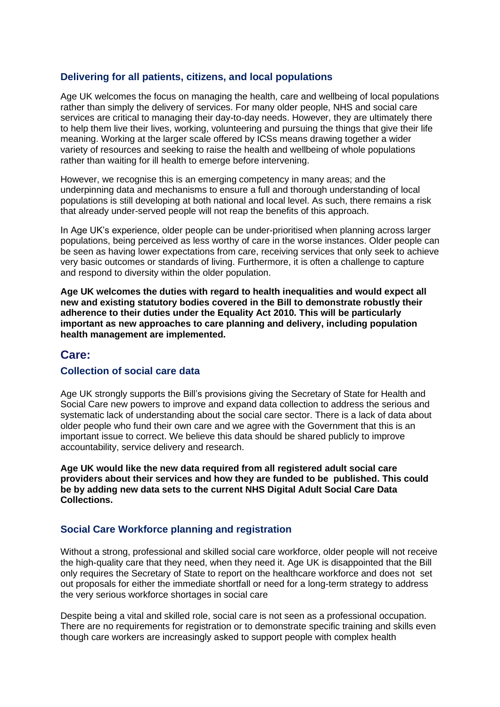### **Delivering for all patients, citizens, and local populations**

Age UK welcomes the focus on managing the health, care and wellbeing of local populations rather than simply the delivery of services. For many older people, NHS and social care services are critical to managing their day-to-day needs. However, they are ultimately there to help them live their lives, working, volunteering and pursuing the things that give their life meaning. Working at the larger scale offered by ICSs means drawing together a wider variety of resources and seeking to raise the health and wellbeing of whole populations rather than waiting for ill health to emerge before intervening.

However, we recognise this is an emerging competency in many areas; and the underpinning data and mechanisms to ensure a full and thorough understanding of local populations is still developing at both national and local level. As such, there remains a risk that already under-served people will not reap the benefits of this approach.

In Age UK's experience, older people can be under-prioritised when planning across larger populations, being perceived as less worthy of care in the worse instances. Older people can be seen as having lower expectations from care, receiving services that only seek to achieve very basic outcomes or standards of living. Furthermore, it is often a challenge to capture and respond to diversity within the older population.

**Age UK welcomes the duties with regard to health inequalities and would expect all new and existing statutory bodies covered in the Bill to demonstrate robustly their adherence to their duties under the Equality Act 2010. This will be particularly important as new approaches to care planning and delivery, including population health management are implemented.**

#### **Care:**

#### **Collection of social care data**

Age UK strongly supports the Bill's provisions giving the Secretary of State for Health and Social Care new powers to improve and expand data collection to address the serious and systematic lack of understanding about the social care sector. There is a lack of data about older people who fund their own care and we agree with the Government that this is an important issue to correct. We believe this data should be shared publicly to improve accountability, service delivery and research.

**Age UK would like the new data required from all registered adult social care providers about their services and how they are funded to be published. This could be by adding new data sets to the current NHS Digital Adult Social Care Data Collections.**

#### **Social Care Workforce planning and registration**

Without a strong, professional and skilled social care workforce, older people will not receive the high-quality care that they need, when they need it. Age UK is disappointed that the Bill only requires the Secretary of State to report on the healthcare workforce and does not set out proposals for either the immediate shortfall or need for a long-term strategy to address the very serious workforce shortages in social care

Despite being a vital and skilled role, social care is not seen as a professional occupation. There are no requirements for registration or to demonstrate specific training and skills even though care workers are increasingly asked to support people with complex health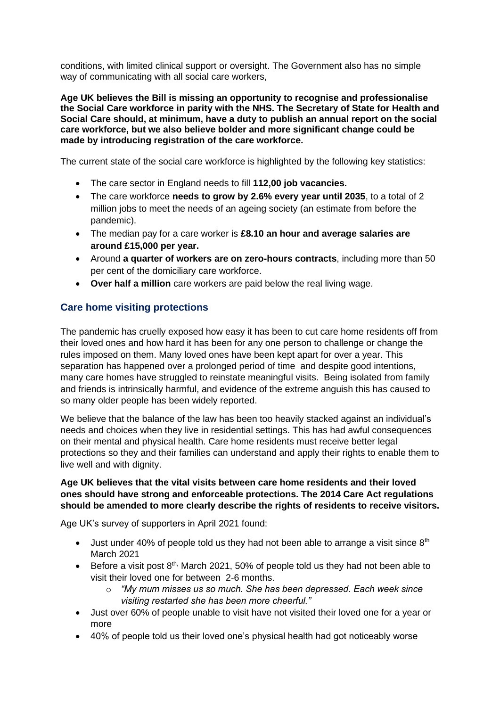conditions, with limited clinical support or oversight. The Government also has no simple way of communicating with all social care workers,

**Age UK believes the Bill is missing an opportunity to recognise and professionalise the Social Care workforce in parity with the NHS. The Secretary of State for Health and Social Care should, at minimum, have a duty to publish an annual report on the social care workforce, but we also believe bolder and more significant change could be made by introducing registration of the care workforce.** 

The current state of the social care workforce is highlighted by the following key statistics:

- The care sector in England needs to fill **112,00 job vacancies.**
- The care workforce **needs to grow by 2.6% every year until 2035**, to a total of 2 million jobs to meet the needs of an ageing society (an estimate from before the pandemic).
- The median pay for a care worker is **£8.10 an hour and average salaries are around £15,000 per year.**
- Around **a quarter of workers are on zero-hours contracts**, including more than 50 per cent of the domiciliary care workforce.
- **Over half a million** care workers are paid below the real living wage.

## **Care home visiting protections**

The pandemic has cruelly exposed how easy it has been to cut care home residents off from their loved ones and how hard it has been for any one person to challenge or change the rules imposed on them. Many loved ones have been kept apart for over a year. This separation has happened over a prolonged period of time and despite good intentions, many care homes have struggled to reinstate meaningful visits. Being isolated from family and friends is intrinsically harmful, and evidence of the extreme anguish this has caused to so many older people has been widely reported.

We believe that the balance of the law has been too heavily stacked against an individual's needs and choices when they live in residential settings. This has had awful consequences on their mental and physical health. Care home residents must receive better legal protections so they and their families can understand and apply their rights to enable them to live well and with dignity.

#### **Age UK believes that the vital visits between care home residents and their loved ones should have strong and enforceable protections. The 2014 Care Act regulations should be amended to more clearly describe the rights of residents to receive visitors.**

Age UK's survey of supporters in April 2021 found:

- Just under 40% of people told us they had not been able to arrange a visit since  $8<sup>th</sup>$ March 2021
- Before a visit post  $8<sup>th</sup>$ , March 2021, 50% of people told us they had not been able to visit their loved one for between 2-6 months.
	- *"My mum misses us so much. She has been depressed. Each week since visiting restarted she has been more cheerful."*
- Just over 60% of people unable to visit have not visited their loved one for a year or more
- 40% of people told us their loved one's physical health had got noticeably worse